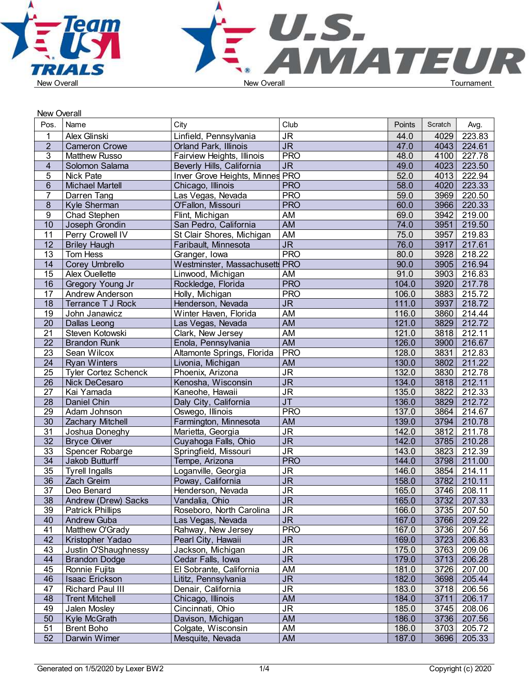

| New Overall     |                             |                                 |                                   |        |         |             |
|-----------------|-----------------------------|---------------------------------|-----------------------------------|--------|---------|-------------|
| Pos.            | Name                        | City                            | Club                              | Points | Scratch | Avg.        |
| 1               | Alex Glinski                | Linfield, Pennsylvania          | $\overline{\mathsf{J}\mathsf{R}}$ | 44.0   | 4029    | 223.83      |
| $\overline{2}$  | <b>Cameron Crowe</b>        | <b>Orland Park, Illinois</b>    | $\overline{\mathsf{JR}}$          | 47.0   | 4043    | 224.61      |
| 3               | <b>Matthew Russo</b>        | Fairview Heights, Illinois      | <b>PRO</b>                        | 48.0   | 4100    | 227.78      |
| $\overline{4}$  | Solomon Salama              | Beverly Hills, California       | J <sub>R</sub>                    | 49.0   | 4023    | 223.50      |
| 5               | <b>Nick Pate</b>            | Inver Grove Heights, Minnes PRO |                                   | 52.0   | 4013    | 222.94      |
| $6\phantom{1}$  | <b>Michael Martell</b>      | Chicago, Illinois               | <b>PRO</b>                        | 58.0   | 4020    | 223.33      |
| $\overline{7}$  | Darren Tang                 | Las Vegas, Nevada               | <b>PRO</b>                        | 59.0   | 3969    | 220.50      |
| 8               | Kyle Sherman                | O'Fallon, Missouri              | <b>PRO</b>                        | 60.0   | 3966    | 220.33      |
| 9               | Chad Stephen                | Flint, Michigan                 | AM                                | 69.0   | 3942    | 219.00      |
| 10              | Joseph Grondin              | San Pedro, California           | <b>AM</b>                         | 74.0   | 3951    | 219.50      |
| 11              | Perry Crowell IV            | St Clair Shores, Michigan       | <b>AM</b>                         | 75.0   | 3957    | 219.83      |
| 12              | <b>Briley Haugh</b>         | Faribault, Minnesota            | J <sub>R</sub>                    | 76.0   | 3917    | 217.61      |
| 13              | Tom Hess                    | Granger, Iowa                   | <b>PRO</b>                        | 80.0   | 3928    | 218.22      |
| 14              | Corey Umbrello              | Westminster, Massachusetts PRO  |                                   | 90.0   | 3905    | 216.94      |
| 15              | <b>Alex Ouellette</b>       | Linwood, Michigan               | AM                                | 91.0   | 3903    | 216.83      |
| $\overline{16}$ | Gregory Young Jr            | Rockledge, Florida              | <b>PRO</b>                        | 104.0  | 3920    | 217.78      |
| 17              | Andrew Anderson             | Holly, Michigan                 | <b>PRO</b>                        | 106.0  | 3883    | 215.72      |
| 18              | Terrance T J Rock           | Henderson, Nevada               | <b>JR</b>                         | 111.0  | 3937    | 218.72      |
| 19              | John Janawicz               | Winter Haven, Florida           | AM                                | 116.0  | 3860    | 214.44      |
| 20              | Dallas Leong                | Las Vegas, Nevada               | <b>AM</b>                         | 121.0  | 3829    | 212.72      |
| 21              | Steven Kotowski             | Clark, New Jersey               | AM                                | 121.0  | 3818    | 212.11      |
| $\overline{22}$ | <b>Brandon Runk</b>         | Enola, Pennsylvania             | AM                                | 126.0  | 3900    | 216.67      |
| 23              | Sean Wilcox                 | Altamonte Springs, Florida      | <b>PRO</b>                        | 128.0  | 3831    | 212.83      |
| $\overline{24}$ | <b>Ryan Winters</b>         | Livonia, Michigan               | <b>AM</b>                         | 130.0  | 3802    | 211.22      |
| 25              | <b>Tyler Cortez Schenck</b> | Phoenix, Arizona                | $\overline{\mathsf{J}\mathsf{R}}$ | 132.0  | 3830    | 212.78      |
| 26              | Nick DeCesaro               | Kenosha, Wisconsin              | $\overline{\mathsf{J}\mathsf{R}}$ | 134.0  | 3818    | 212.11      |
| $\overline{27}$ | Kai Yamada                  | Kaneohe, Hawaii                 | $\overline{\mathsf{J}\mathsf{R}}$ | 135.0  | 3822    | 212.33      |
| 28              | Daniel Chin                 | Daly City, California           | $\overline{\mathsf{J}\mathsf{T}}$ | 136.0  | 3829    | 212.72      |
| 29              | Adam Johnson                | Oswego, Illinois                | <b>PRO</b>                        | 137.0  | 3864    | 214.67      |
| 30              | Zachary Mitchell            | Farmington, Minnesota           | AM                                | 139.0  | 3794    | 210.78      |
| $\overline{31}$ | Joshua Doneghy              | Marietta, Georgia               | $\overline{\mathsf{J}\mathsf{R}}$ | 142.0  | 3812    | 211.78      |
| $\overline{32}$ | <b>Bryce Oliver</b>         | Cuyahoga Falls, Ohio            | $\overline{\mathsf{J}\mathsf{R}}$ | 142.0  | 3785    | 210.28      |
| 33              | Spencer Robarge             | Springfield, Missouri           | $\overline{\mathsf{JR}}$          | 143.0  | 3823    | 212.39      |
| $\overline{34}$ | Jakob Butturff              | Tempe, Arizona                  | <b>PRO</b>                        | 144.0  | 3798    | 211.00      |
| 35              | <b>Tyrell Ingalls</b>       | Loganville, Georgia             | <b>JR</b>                         | 146.0  | 3854    | 214.11      |
| 36              | Zach Greim                  | Poway, California               | <b>JR</b>                         | 158.0  | 3782    | 210.11      |
| $\overline{37}$ | Deo Benard                  | Henderson, Nevada               | JR.                               | 165.0  | 3746    | 208.11      |
| 38              | Andrew (Drew) Sacks         | Vandalia, Ohio                  | JR.                               | 165.0  |         | 3732 207.33 |
| 39              | <b>Patrick Phillips</b>     | Roseboro, North Carolina        | <b>JR</b>                         | 166.0  | 3735    | 207.50      |
| 40              | <b>Andrew Guba</b>          | Las Vegas, Nevada               | ${\sf JR}$                        | 167.0  | 3766    | 209.22      |
| 41              | Matthew O'Grady             | Rahway, New Jersey              | <b>PRO</b>                        | 167.0  | 3736    | 207.56      |
| 42              | Kristopher Yadao            | Pearl City, Hawaii              | <b>JR</b>                         | 169.0  | 3723    | 206.83      |
| 43              | Justin O'Shaughnessy        | Jackson, Michigan               | <b>JR</b>                         | 175.0  | 3763    | 209.06      |
| 44              | <b>Brandon Dodge</b>        | Cedar Falls, Iowa               | <b>JR</b>                         | 179.0  | 3713    | 206.28      |
| 45              | Ronnie Fujita               | El Sobrante, California         | AM                                | 181.0  | 3726    | 207.00      |
| 46              | Isaac Erickson              | Lititz, Pennsylvania            | <b>JR</b>                         | 182.0  | 3698    | 205.44      |
| 47              | <b>Richard Paul III</b>     | Denair, California              | <b>JR</b>                         | 183.0  | 3718    | 206.56      |
| 48              | <b>Trent Mitchell</b>       | Chicago, Illinois               | AM                                | 184.0  | 3711    | 206.17      |
| 49              | Jalen Mosley                | Cincinnati, Ohio                | <b>JR</b>                         | 185.0  | 3745    | 208.06      |
| 50              | Kyle McGrath                | Davison, Michigan               | AM                                | 186.0  | 3736    | 207.56      |
| 51              | <b>Brent Boho</b>           | Colgate, Wisconsin              | AM                                | 186.0  | 3703    | 205.72      |
| 52              | Darwin Wimer                | Mesquite, Nevada                | AM                                | 187.0  | 3696    | 205.33      |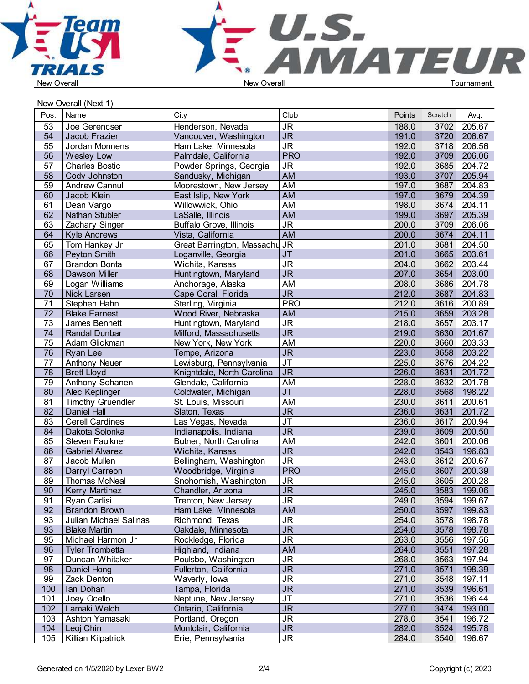



New Overall (Next 1)

| Pos.            | Name                     | City                           | Club                              | Points | Scratch | Avg.   |  |
|-----------------|--------------------------|--------------------------------|-----------------------------------|--------|---------|--------|--|
| 53              | Joe Gerencser            | Henderson, Nevada              | <b>JR</b>                         | 188.0  | 3702    | 205.67 |  |
| $\overline{54}$ | Jacob Frazier            | Vancouver, Washington          | J <sub>R</sub>                    | 191.0  | 3720    | 206.67 |  |
| 55              | Jordan Monnens           | Ham Lake, Minnesota            | <b>JR</b>                         | 192.0  | 3718    | 206.56 |  |
| $\overline{56}$ | <b>Wesley Low</b>        | Palmdale, California           | <b>PRO</b>                        | 192.0  | 3709    | 206.06 |  |
| 57              | <b>Charles Bostic</b>    | Powder Springs, Georgia        | <b>JR</b>                         | 192.0  | 3685    | 204.72 |  |
| $\overline{58}$ | Cody Johnston            | Sandusky, Michigan             | <b>AM</b>                         | 193.0  | 3707    | 205.94 |  |
| 59              | Andrew Cannuli           | Moorestown, New Jersey         | AM                                | 197.0  | 3687    | 204.83 |  |
| 60              | Jacob Klein              | East Islip, New York           | AM                                | 197.0  | 3679    | 204.39 |  |
| 61              | Dean Vargo               | Willowwick, Ohio               | <b>AM</b>                         | 198.0  | 3674    | 204.11 |  |
| 62              |                          |                                |                                   |        |         |        |  |
|                 | Nathan Stubler           | LaSalle, Illinois              | <b>AM</b>                         | 199.0  | 3697    | 205.39 |  |
| 63              | Zachary Singer           | <b>Buffalo Grove, Illinois</b> | $\overline{\mathsf{J}\mathsf{R}}$ | 200.0  | 3709    | 206.06 |  |
| 64              | <b>Kyle Andrews</b>      | Vista, California              | AM                                | 200.0  | 3674    | 204.11 |  |
| 65              | Tom Hankey Jr            | Great Barrington, Massachu     | <b>JR</b>                         | 201.0  | 3681    | 204.50 |  |
| 66              | Peyton Smith             | Loganville, Georgia            | <b>JT</b>                         | 201.0  | 3665    | 203.61 |  |
| 67              | <b>Brandon Bonta</b>     | Wichita, Kansas                | <b>JR</b>                         | 204.0  | 3662    | 203.44 |  |
| 68              | <b>Dawson Miller</b>     | Huntingtown, Maryland          | $\overline{\mathsf{J}\mathsf{R}}$ | 207.0  | 3654    | 203.00 |  |
| 69              | Logan Williams           | Anchorage, Alaska              | AM                                | 208.0  | 3686    | 204.78 |  |
| 70              | Nick Larsen              | Cape Coral, Florida            | <b>JR</b>                         | 212.0  | 3687    | 204.83 |  |
| $\overline{71}$ | Stephen Hahn             | Sterling, Virginia             | <b>PRO</b>                        | 212.0  | 3616    | 200.89 |  |
| $\overline{72}$ | <b>Blake Earnest</b>     | Wood River, Nebraska           | <b>AM</b>                         | 215.0  | 3659    | 203.28 |  |
| $\overline{73}$ | James Bennett            | Huntingtown, Maryland          | $\overline{\mathsf{JR}}$          | 218.0  | 3657    | 203.17 |  |
| 74              | <b>Randal Dunbar</b>     | Milford, Massachusetts         | $\overline{\mathsf{JR}}$          | 219.0  | 3630    | 201.67 |  |
| 75              | Adam Glickman            | New York, New York             | AM                                | 220.0  | 3660    | 203.33 |  |
| 76              | <b>Ryan Lee</b>          | Tempe, Arizona                 | $\overline{\mathsf{J}\mathsf{R}}$ | 223.0  | 3658    | 203.22 |  |
| 77              | <b>Anthony Neuer</b>     | Lewisburg, Pennsylvania        | <b>JT</b>                         | 225.0  | 3676    | 204.22 |  |
| 78              | <b>Brett Lloyd</b>       | Knightdale, North Carolina     | J <sub>R</sub>                    | 226.0  | 3631    | 201.72 |  |
| 79              | <b>Anthony Schanen</b>   | Glendale, California           | AM                                | 228.0  | 3632    | 201.78 |  |
| 80              | Alec Keplinger           | Coldwater, Michigan            | $J$ T                             | 228.0  | 3568    | 198.22 |  |
| 81              | <b>Timothy Gruendler</b> | St. Louis, Missouri            | <b>AM</b>                         | 230.0  | 3611    | 200.61 |  |
| 82              | <b>Daniel Hall</b>       | Slaton, Texas                  | <b>JR</b>                         | 236.0  | 3631    | 201.72 |  |
| 83              | <b>Cerell Cardines</b>   | Las Vegas, Nevada              | $J$ T                             | 236.0  | 3617    | 200.94 |  |
| 84              | Dakota Solonka           | Indianapolis, Indiana          | $\overline{\mathsf{J}\mathsf{R}}$ | 239.0  | 3609    | 200.50 |  |
| 85              | Steven Faulkner          | Butner, North Carolina         | AM                                | 242.0  | 3601    | 200.06 |  |
| 86              | <b>Gabriel Alvarez</b>   | Wichita, Kansas                | $\overline{\mathsf{JR}}$          | 242.0  | 3543    | 196.83 |  |
| 87              | Jacob Mullen             | Bellingham, Washington         | <b>JR</b>                         | 243.0  | 3612    | 200.67 |  |
| 88              | <b>Darryl Carreon</b>    | Woodbridge, Virginia           | <b>PRO</b>                        | 245.0  | 3607    | 200.39 |  |
| 89              | Thomas McNeal            | Snohomish, Washington          | <b>JR</b>                         | 245.0  | 3605    | 200.28 |  |
| 90              | <b>Kerry Martinez</b>    | Chandler, Arizona              | <b>JR</b>                         | 245.0  | 3583    | 199.06 |  |
| 91              | Ryan Carlisi             | Trenton, New Jersey            | <b>JR</b>                         | 249.0  | 3594    | 199.67 |  |
| 92              | <b>Brandon Brown</b>     | Ham Lake, Minnesota            | AM                                | 250.0  | 3597    | 199.83 |  |
| 93              | Julian Michael Salinas   | Richmond, Texas                | <b>JR</b>                         | 254.0  | 3578    | 198.78 |  |
| 93              | <b>Blake Martin</b>      | Oakdale, Minnesota             | <b>JR</b>                         | 254.0  | 3578    | 198.78 |  |
| 95              | Michael Harmon Jr        | Rockledge, Florida             | <b>JR</b>                         | 263.0  | 3556    | 197.56 |  |
| 96              | <b>Tyler Trombetta</b>   | Highland, Indiana              | AM                                | 264.0  | 3551    | 197.28 |  |
| 97              | Duncan Whitaker          | Poulsbo, Washington            | <b>JR</b>                         | 268.0  | 3563    | 197.94 |  |
| 98              | Daniel Hong              | Fullerton, California          | $\overline{\mathsf{J}\mathsf{R}}$ | 271.0  | 3571    | 198.39 |  |
| 99              | Zack Denton              | Waverly, Iowa                  | <b>JR</b>                         | 271.0  | 3548    | 197.11 |  |
| 100             | Ian Dohan                | Tampa, Florida                 | <b>JR</b>                         | 271.0  | 3539    | 196.61 |  |
| 101             | Joey Ocello              | Neptune, New Jersey            | <b>JT</b>                         | 271.0  | 3536    | 196.44 |  |
| 102             | Lamaki Welch             | Ontario, California            | <b>JR</b>                         | 277.0  | 3474    | 193.00 |  |
| 103             | Ashton Yamasaki          |                                | <b>JR</b>                         | 278.0  | 3541    | 196.72 |  |
|                 |                          | Portland, Oregon               |                                   |        |         |        |  |
| 104             | Leoj Chin                | Montclair, California          | <b>JR</b>                         | 282.0  | 3524    | 195.78 |  |
| 105             | Killian Kilpatrick       | Erie, Pennsylvania             | <b>JR</b>                         | 284.0  | 3540    | 196.67 |  |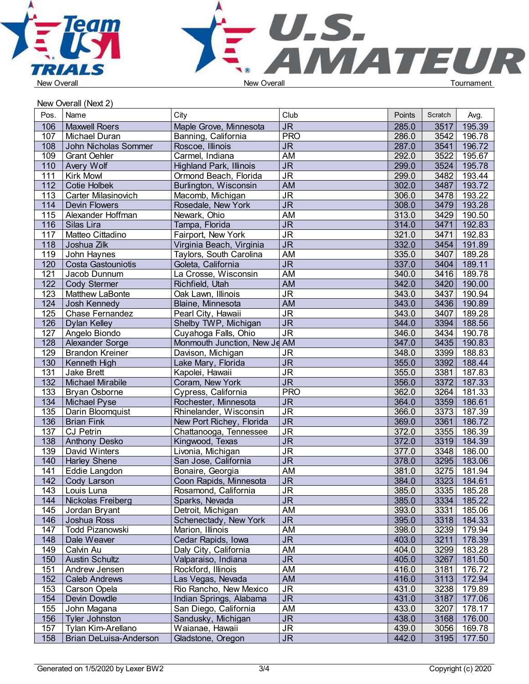



New Overall (Next 2)

| Pos.             | Name                   | City                           | Club                              | Points | Scratch | Avg.        |  |
|------------------|------------------------|--------------------------------|-----------------------------------|--------|---------|-------------|--|
| 106              | <b>Maxwell Roers</b>   | Maple Grove, Minnesota         | <b>JR</b>                         | 285.0  | 3517    | 195.39      |  |
| 107              | Michael Duran          | Banning, California            | <b>PRO</b>                        | 286.0  | 3542    | 196.78      |  |
| 108              | John Nicholas Sommer   | Roscoe, Illinois               | <b>JR</b>                         | 287.0  | 3541    | 196.72      |  |
| 109              | <b>Grant Oehler</b>    | Carmel, Indiana                | AM                                | 292.0  | 3522    | 195.67      |  |
| 110              | Avery Wolf             | <b>Highland Park, Illinois</b> | J <sub>R</sub>                    | 299.0  | 3524    | 195.78      |  |
| 111              | <b>Kirk Mowl</b>       | Ormond Beach, Florida          | $\overline{\mathsf{J}\mathsf{R}}$ | 299.0  | 3482    | 193.44      |  |
| 112              | Cotie Holbek           | Burlington, Wisconsin          | AM                                | 302.0  | 3487    | 193.72      |  |
| 113              | Carter Milasinovich    | Macomb, Michigan               | $\overline{\mathsf{J}\mathsf{R}}$ | 306.0  | 3478    | 193.22      |  |
| 114              | Devin Flowers          | Rosedale, New York             | $\overline{\mathsf{JR}}$          | 308.0  | 3479    | 193.28      |  |
| 115              | Alexander Hoffman      | Newark, Ohio                   | AM                                | 313.0  | 3429    | 190.50      |  |
| 116              | Silas Lira             | Tampa, Florida                 | $\overline{\mathsf{JR}}$          | 314.0  | 3471    | 192.83      |  |
| 117              | Matteo Cittadino       | Fairport, New York             | <b>JR</b>                         | 321.0  | 3471    | 192.83      |  |
| 118              | Joshua Zilk            |                                | $\overline{\mathsf{J}\mathsf{R}}$ | 332.0  | 3454    | 191.89      |  |
|                  |                        | Virginia Beach, Virginia       | AM                                | 335.0  | 3407    | 189.28      |  |
| 119              | John Haynes            | Taylors, South Carolina        |                                   |        |         |             |  |
| 120              | Costa Gastouniotis     | Goleta, California             | <b>JR</b>                         | 337.0  | 3404    | 189.11      |  |
| 121              | Jacob Dunnum           | La Crosse, Wisconsin           | <b>AM</b>                         | 340.0  | 3416    | 189.78      |  |
| 122              | Cody Stermer           | Richfield, Utah                | <b>AM</b>                         | 342.0  | 3420    | 190.00      |  |
| 123              | Matthew LaBonte        | Oak Lawn, Illinois             | $\overline{\mathsf{JR}}$          | 343.0  | 3437    | 190.94      |  |
| 124              | Josh Kennedy           | Blaine, Minnesota              | <b>AM</b>                         | 343.0  | 3436    | 190.89      |  |
| 125              | Chase Fernandez        | Pearl City, Hawaii             | $\overline{\mathsf{J}\mathsf{R}}$ | 343.0  | 3407    | 189.28      |  |
| 126              | Dylan Kelley           | Shelby TWP, Michigan           | J <sub>R</sub>                    | 344.0  | 3394    | 188.56      |  |
| 127              | Angelo Biondo          | Cuyahoga Falls, Ohio           | <b>JR</b>                         | 346.0  | 3434    | 190.78      |  |
| 128              | <b>Alexander Sorge</b> | Monmouth Junction, New Je AM   |                                   | 347.0  | 3435    | 190.83      |  |
| 129              | <b>Brandon Kreiner</b> | Davison, Michigan              | <b>JR</b>                         | 348.0  | 3399    | 188.83      |  |
| 130              | Kenneth High           | Lake Mary, Florida             | $\overline{\mathsf{J}\mathsf{R}}$ | 355.0  | 3392    | 188.44      |  |
| 131              | Jake Brett             | Kapolei, Hawaii                | $\overline{\mathsf{J}\mathsf{R}}$ | 355.0  | 3381    | 187.83      |  |
| 132              | Michael Mirabile       | Coram, New York                | $\overline{\mathsf{JR}}$          | 356.0  | 3372    | 187.33      |  |
| $\overline{133}$ | Bryan Osborne          | Cypress, California            | <b>PRO</b>                        | 362.0  | 3264    | 181.33      |  |
| $\overline{134}$ | Michael Pyse           | Rochester, Minnesota           | $\overline{\mathsf{JR}}$          | 364.0  | 3359    | 186.61      |  |
| 135              | Darin Bloomquist       | Rhinelander, Wisconsin         | $\overline{\mathsf{J}\mathsf{R}}$ | 366.0  | 3373    | 187.39      |  |
| 136              | <b>Brian Fink</b>      | New Port Richey, Florida       | J <sub>R</sub>                    | 369.0  | 3361    | 186.72      |  |
| 137              | <b>CJ Petrin</b>       | Chattanooga, Tennessee         | <b>JR</b>                         | 372.0  | 3355    | 186.39      |  |
| 138              | Anthony Desko          | Kingwood, Texas                | $\overline{\mathsf{J}\mathsf{R}}$ | 372.0  | 3319    | 184.39      |  |
| 139              | David Winters          | Livonia, Michigan              | <b>JR</b>                         | 377.0  | 3348    | 186.00      |  |
| 140              | <b>Harley Shene</b>    | San Jose, California           | $\overline{\mathsf{J}\mathsf{R}}$ | 378.0  | 3295    | 183.06      |  |
| 141              | Eddie Langdon          | Bonaire, Georgia               | <b>AM</b>                         | 381.0  | 3275    | 181.94      |  |
| 142              | Cody Larson            | Coon Rapids, Minnesota         | <b>JR</b>                         | 384.0  | 3323    | 184.61      |  |
| 143              | Louis Luna             | Rosamond, California           | <b>JR</b>                         | 385.0  | 3335    | 185.28      |  |
| 144              | Nickolas Freiberg      | Sparks, Nevada                 | <b>JR</b>                         | 385.0  |         | 3334 185.22 |  |
| 145              | Jordan Bryant          | Detroit, Michigan              | AM                                | 393.0  | 3331    | 185.06      |  |
| 146              | Joshua Ross            | Schenectady, New York          | <b>JR</b>                         | 395.0  | 3318    | 184.33      |  |
| 147              | <b>Todd Pizanowski</b> | Marion, Illinois               | AM                                | 398.0  | 3239    | 179.94      |  |
| 148              | Dale Weaver            | Cedar Rapids, Iowa             | <b>JR</b>                         | 403.0  | 3211    | 178.39      |  |
| 149              | Calvin Au              | Daly City, California          | AM                                | 404.0  | 3299    | 183.28      |  |
| 150              | Austin Schultz         | Valparaiso, Indiana            | $\overline{\mathsf{JR}}$          | 405.0  | 3267    | 181.50      |  |
| 151              | Andrew Jensen          | Rockford, Illinois             | AM                                | 416.0  | 3181    | 176.72      |  |
| 152              | <b>Caleb Andrews</b>   | Las Vegas, Nevada              | AM                                | 416.0  | 3113    | 172.94      |  |
| 153              | Carson Opela           | Rio Rancho, New Mexico         | <b>JR</b>                         | 431.0  | 3238    | 179.89      |  |
| 154              | Devin Dowdle           | Indian Springs, Alabama        | <b>JR</b>                         | 431.0  | 3187    | 177.06      |  |
| 155              | John Magana            | San Diego, California          | AM                                | 433.0  | 3207    | 178.17      |  |
| 156              | Tyler Johnston         | Sandusky, Michigan             | <b>JR</b>                         | 438.0  | 3168    | 176.00      |  |
| 157              | Tylan Kim-Arellano     | Waianae, Hawaii                | <b>JR</b>                         | 439.0  | 3056    | 169.78      |  |
| 158              | Brian DeLuisa-Anderson | Gladstone, Oregon              | <b>JR</b>                         | 442.0  | 3195    | 177.50      |  |
|                  |                        |                                |                                   |        |         |             |  |